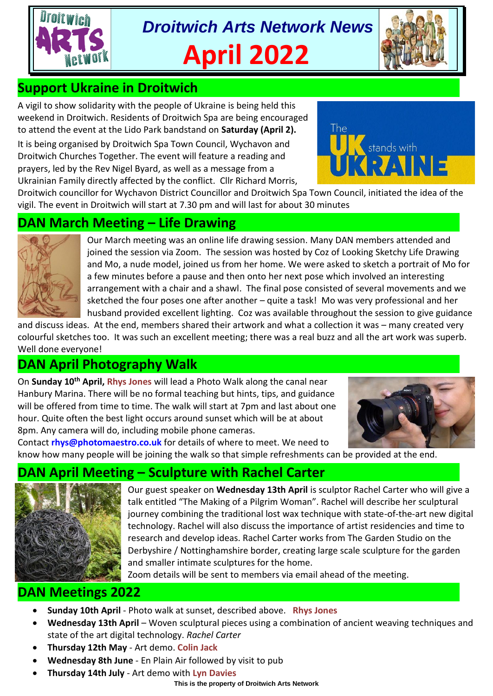

*Droitwich Arts Network News* **April 2022**



# **Support Ukraine in Droitwich**

A vigil to show solidarity with the people of Ukraine is being held this weekend in Droitwich. Residents of Droitwich Spa are being encouraged to attend the event at the Lido Park bandstand on **Saturday (April 2).**

It is being organised by Droitwich Spa Town Council, Wychavon and Droitwich Churches Together. The event will feature a reading and prayers, led by the Rev Nigel Byard, as well as a message from a Ukrainian Family directly affected by the conflict. Cllr Richard Morris,



Droitwich councillor for Wychavon District Councillor and Droitwich Spa Town Council, initiated the idea of the vigil. The event in Droitwich will start at 7.30 pm and will last for about 30 minutes

## **DAN March Meeting – Life Drawing**



Our March meeting was an online life drawing session. Many DAN members attended and joined the session via Zoom. The session was hosted by Coz of Looking Sketchy Life Drawing and Mo, a nude model, joined us from her home. We were asked to sketch a portrait of Mo for a few minutes before a pause and then onto her next pose which involved an interesting arrangement with a chair and a shawl. The final pose consisted of several movements and we sketched the four poses one after another – quite a task! Mo was very professional and her husband provided excellent lighting. Coz was available throughout the session to give guidance

and discuss ideas. At the end, members shared their artwork and what a collection it was – many created very colourful sketches too. It was such an excellent meeting; there was a real buzz and all the art work was superb. Well done everyone!

# **DAN April Photography Walk**

On **Sunday 10th April, Rhys Jones** will lead a Photo Walk along the canal near Hanbury Marina. There will be no formal teaching but hints, tips, and guidance will be offered from time to time. The walk will start at 7pm and last about one hour. Quite often the best light occurs around sunset which will be at about 8pm. Any camera will do, including mobile phone cameras.



Contact **rhys@photomaestro.co.uk** for details of where to meet. We need to know how many people will be joining the walk so that simple refreshments can be provided at the end.

## **DAN April Meeting – Sculpture with Rachel Carter**



Our guest speaker on **Wednesday 13th April** is sculptor Rachel Carter who will give a talk entitled "The Making of a Pilgrim Woman". Rachel will describe her sculptural journey combining the traditional lost wax technique with state-of-the-art new digital technology. Rachel will also discuss the importance of artist residencies and time to research and develop ideas. Rachel Carter works from The Garden Studio on the Derbyshire / Nottinghamshire border, creating large scale sculpture for the garden and smaller intimate sculptures for the home.

Zoom details will be sent to members via email ahead of the meeting.

# **DAN Meetings 2022**

- **Sunday 10th April** Photo walk at sunset, described above. **Rhys Jones**
- **Wednesday 13th April** Woven sculptural pieces using a combination of ancient weaving techniques and state of the art digital technology. *Rachel Carter*
- **Thursday 12th May** Art demo. **Colin Jack**
- **Wednesday 8th June** En Plain Air followed by visit to pub
- **Thursday 14th July** Art demo with **Lyn Davies**

**This is the property of Droitwich Arts Network**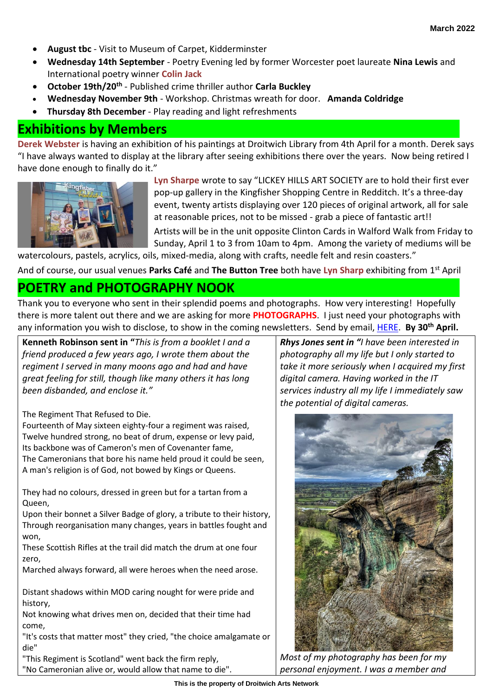- **August tbc** Visit to Museum of Carpet, Kidderminster
- **Wednesday 14th September** Poetry Evening led by former Worcester poet laureate **Nina Lewis** and International poetry winner **Colin Jack**
- **October 19th/20th** Published crime thriller author **Carla Buckley**
- **Wednesday November 9th** Workshop. Christmas wreath for door. **Amanda Coldridge**
- **Thursday 8th December** Play reading and light refreshments

## **Exhibitions by Members**

**Derek Webster** is having an exhibition of his paintings at Droitwich Library from 4th April for a month. Derek says "I have always wanted to display at the library after seeing exhibitions there over the years. Now being retired I have done enough to finally do it."



**Lyn Sharpe** wrote to say "LICKEY HILLS ART SOCIETY are to hold their first ever pop-up gallery in the Kingfisher Shopping Centre in Redditch. It's a three-day event, twenty artists displaying over 120 pieces of original artwork, all for sale at reasonable prices, not to be missed - grab a piece of fantastic art!!

Artists will be in the unit opposite Clinton Cards in Walford Walk from Friday to Sunday, April 1 to 3 from 10am to 4pm. Among the variety of mediums will be watercolours, pastels, acrylics, oils, mixed-media, along with crafts, needle felt and resin coasters."

And of course, our usual venues **Parks Café** and **The Button Tree** both have **Lyn Sharp** exhibiting from 1st April

## **POETRY and PHOTOGRAPHY NOOK**

Thank you to everyone who sent in their splendid poems and photographs. How very interesting! Hopefully there is more talent out there and we are asking for more **PHOTOGRAPHS**. I just need your photographs with any information you wish to disclose, to show in the coming newsletters. Send by email[, HERE.](mailto:tina.watkins.ntlworld@gmail.com) **By 30th April.**

**Kenneth Robinson sent in "***This is from a booklet I and a friend produced a few years ago, I wrote them about the regiment I served in many moons ago and had and have great feeling for still, though like many others it has long been disbanded, and enclose it."*

The Regiment That Refused to Die.

Fourteenth of May sixteen eighty-four a regiment was raised, Twelve hundred strong, no beat of drum, expense or levy paid, Its backbone was of Cameron's men of Covenanter fame, The Cameronians that bore his name held proud it could be seen, A man's religion is of God, not bowed by Kings or Queens.

They had no colours, dressed in green but for a tartan from a Queen,

Upon their bonnet a Silver Badge of glory, a tribute to their history, Through reorganisation many changes, years in battles fought and won,

These Scottish Rifles at the trail did match the drum at one four zero,

Marched always forward, all were heroes when the need arose.

Distant shadows within MOD caring nought for were pride and history,

Not knowing what drives men on, decided that their time had come,

"It's costs that matter most" they cried, "the choice amalgamate or die"

"This Regiment is Scotland" went back the firm reply,

"No Cameronian alive or, would allow that name to die".

*Rhys Jones sent in "I have been interested in photography all my life but I only started to take it more seriously when I acquired my first digital camera. Having worked in the IT services industry all my life I immediately saw the potential of digital cameras.* 



*Most of my photography has been for my personal enjoyment. I was a member and*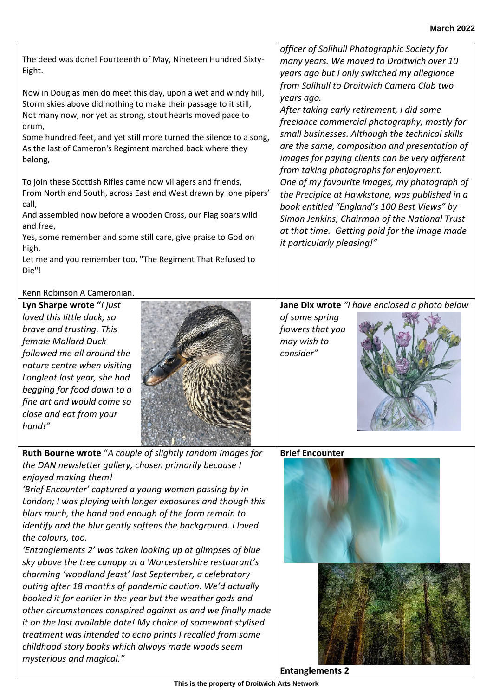*'Entanglements 2' was taken looking up at glimpses of blue sky above the tree canopy at a Worcestershire restaurant's charming 'woodland feast' last September, a celebratory outing after 18 months of pandemic caution. We'd actually booked it for earlier in the year but the weather gods and other circumstances conspired against us and we finally made it on the last available date! My choice of somewhat stylised treatment was intended to echo prints I recalled from some childhood story books which always made woods seem* 

From North and South, across East and West drawn by lone pipers' call, And assembled now before a wooden Cross, our Flag soars wild and free,

To join these Scottish Rifles came now villagers and friends,

The deed was done! Fourteenth of May, Nineteen Hundred Sixty-

Not many now, nor yet as strong, stout hearts moved pace to

Some hundred feet, and yet still more turned the silence to a song, As the last of Cameron's Regiment marched back where they

Yes, some remember and some still care, give praise to God on high,

Let me and you remember too, "The Regiment That Refused to Die"!

### Kenn Robinson A Cameronian.

Eight.

drum,

belong,

**Lyn Sharpe wrote "***I just loved this little duck, so brave and trusting. This female Mallard Duck followed me all around the nature centre when visiting Longleat last year, she had begging for food down to a fine art and would come so close and eat from your hand!"*

*mysterious and magical."*



**Ruth Bourne wrote** "*A couple of slightly random images for the DAN newsletter gallery, chosen primarily because I enjoyed making them!* 

*'Brief Encounter' captured a young woman passing by in London; I was playing with longer exposures and though this blurs much, the hand and enough of the form remain to identify and the blur gently softens the background. I loved the colours, too.* 

Now in Douglas men do meet this day, upon a wet and windy hill, Storm skies above did nothing to make their passage to it still, *years ago but I only switched my allegiance from Solihull to Droitwich Camera Club two years ago.* 

*After taking early retirement, I did some freelance commercial photography, mostly for small businesses. Although the technical skills are the same, composition and presentation of images for paying clients can be very different from taking photographs for enjoyment. One of my favourite images, my photograph of the Precipice at Hawkstone, was published in a book entitled "England's 100 Best Views" by Simon Jenkins, Chairman of the National Trust at that time. Getting paid for the image made it particularly pleasing!"*

*officer of Solihull Photographic Society for many years. We moved to Droitwich over 10* 

## **Jane Dix wrote** *"I have enclosed a photo below*

*of some spring flowers that you may wish to consider"* 



### **Brief Encounter**





**Entanglements 2**